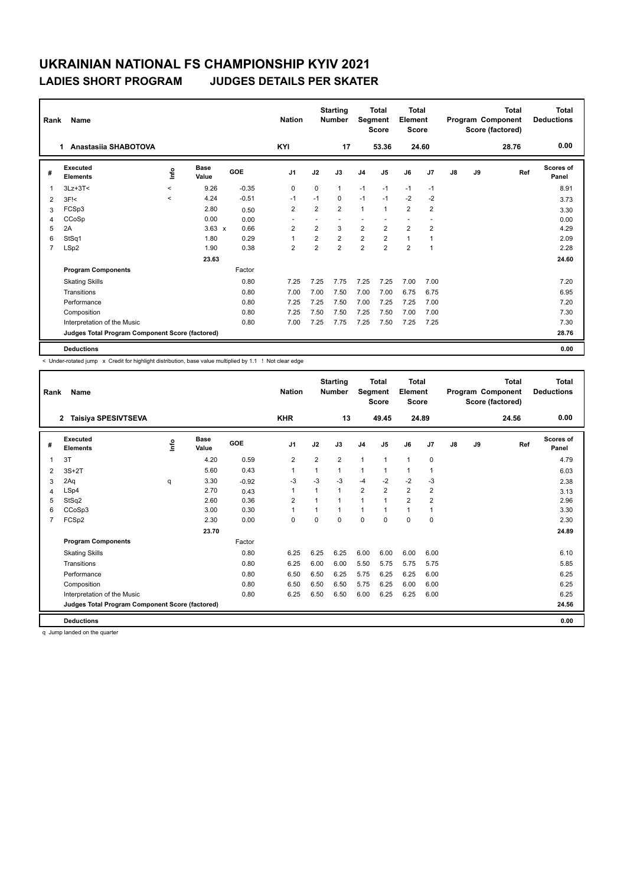| Rank           | Name                                            |                                  | <b>Nation</b>        |         | <b>Starting</b><br><b>Number</b> | Segment        | <b>Total</b><br><b>Score</b> | <b>Total</b><br>Element<br><b>Score</b> |                |                |                | <b>Total</b><br>Program Component<br>Score (factored) | Total<br><b>Deductions</b> |       |                           |
|----------------|-------------------------------------------------|----------------------------------|----------------------|---------|----------------------------------|----------------|------------------------------|-----------------------------------------|----------------|----------------|----------------|-------------------------------------------------------|----------------------------|-------|---------------------------|
|                | Anastasiia SHABOTOVA<br>1                       |                                  |                      |         | <b>KYI</b>                       |                | 17                           |                                         | 53.36          | 24.60          |                |                                                       |                            | 28.76 | 0.00                      |
| #              | Executed<br><b>Elements</b>                     | $\mathop{\mathsf{Irr}}\nolimits$ | <b>Base</b><br>Value | GOE     | J1                               | J2             | J3                           | J <sub>4</sub>                          | J5             | J6             | J7             | $\mathsf{J}8$                                         | J9                         | Ref   | <b>Scores of</b><br>Panel |
| $\overline{1}$ | $3Lz + 3T <$                                    | $\prec$                          | 9.26                 | $-0.35$ | 0                                | $\Omega$       | $\mathbf{1}$                 | $-1$                                    | $-1$           | $-1$           | $-1$           |                                                       |                            |       | 8.91                      |
| 2              | $3F$ $<$                                        | $\prec$                          | 4.24                 | $-0.51$ | $-1$                             | $-1$           | 0                            | $-1$                                    | $-1$           | $-2$           | $-2$           |                                                       |                            |       | 3.73                      |
| 3              | FCSp3                                           |                                  | 2.80                 | 0.50    | $\overline{2}$                   | $\overline{2}$ | $\overline{2}$               | $\mathbf{1}$                            | $\mathbf{1}$   | $\overline{2}$ | $\overline{2}$ |                                                       |                            |       | 3.30                      |
| 4              | CCoSp                                           |                                  | 0.00                 | 0.00    |                                  |                |                              |                                         |                |                |                |                                                       |                            |       | 0.00                      |
| 5              | 2A                                              |                                  | $3.63 \times$        | 0.66    | $\overline{2}$                   | $\overline{2}$ | 3                            | $\overline{2}$                          | $\overline{2}$ | 2              | $\overline{2}$ |                                                       |                            |       | 4.29                      |
| 6              | StSq1                                           |                                  | 1.80                 | 0.29    | $\overline{1}$                   | $\overline{2}$ | $\overline{2}$               | $\overline{2}$                          | $\overline{2}$ | $\mathbf{1}$   | 1              |                                                       |                            |       | 2.09                      |
| $\overline{7}$ | LSp2                                            |                                  | 1.90                 | 0.38    | $\overline{2}$                   | $\overline{2}$ | $\overline{2}$               | $\overline{2}$                          | $\overline{2}$ | $\overline{2}$ | $\overline{1}$ |                                                       |                            |       | 2.28                      |
|                |                                                 |                                  | 23.63                |         |                                  |                |                              |                                         |                |                |                |                                                       |                            |       | 24.60                     |
|                | <b>Program Components</b>                       |                                  |                      | Factor  |                                  |                |                              |                                         |                |                |                |                                                       |                            |       |                           |
|                | <b>Skating Skills</b>                           |                                  |                      | 0.80    | 7.25                             | 7.25           | 7.75                         | 7.25                                    | 7.25           | 7.00           | 7.00           |                                                       |                            |       | 7.20                      |
|                | Transitions                                     |                                  |                      | 0.80    | 7.00                             | 7.00           | 7.50                         | 7.00                                    | 7.00           | 6.75           | 6.75           |                                                       |                            |       | 6.95                      |
|                | Performance                                     |                                  |                      | 0.80    | 7.25                             | 7.25           | 7.50                         | 7.00                                    | 7.25           | 7.25           | 7.00           |                                                       |                            |       | 7.20                      |
|                | Composition                                     |                                  |                      | 0.80    | 7.25                             | 7.50           | 7.50                         | 7.25                                    | 7.50           | 7.00           | 7.00           |                                                       |                            |       | 7.30                      |
|                | Interpretation of the Music                     |                                  |                      | 0.80    | 7.00                             | 7.25           | 7.75                         | 7.25                                    | 7.50           | 7.25           | 7.25           |                                                       |                            |       | 7.30                      |
|                | Judges Total Program Component Score (factored) |                                  |                      |         |                                  |                |                              |                                         |                |                |                |                                                       |                            |       | 28.76                     |
|                | <b>Deductions</b>                               |                                  |                      |         |                                  |                |                              |                                         |                |                |                |                                                       |                            |       | 0.00                      |

< Under-rotated jump x Credit for highlight distribution, base value multiplied by 1.1 ! Not clear edge

| Rank | Name                                            |      |                      |         | <b>Nation</b>  |                | <b>Starting</b><br><b>Number</b> | Segment        | <b>Total</b><br><b>Score</b> | <b>Total</b><br>Element<br><b>Score</b> |                |               |    | <b>Total</b><br>Program Component<br>Score (factored) | <b>Total</b><br><b>Deductions</b> |
|------|-------------------------------------------------|------|----------------------|---------|----------------|----------------|----------------------------------|----------------|------------------------------|-----------------------------------------|----------------|---------------|----|-------------------------------------------------------|-----------------------------------|
|      | <b>Taisiya SPESIVTSEVA</b><br>$\overline{2}$    |      |                      |         | <b>KHR</b>     |                | 13                               |                | 49.45                        | 24.89                                   |                |               |    | 24.56                                                 | 0.00                              |
| #    | Executed<br><b>Elements</b>                     | Info | <b>Base</b><br>Value | GOE     | J <sub>1</sub> | J2             | J3                               | J <sub>4</sub> | J5                           | J6                                      | J7             | $\mathsf{J}8$ | J9 | Ref                                                   | Scores of<br>Panel                |
| 1    | 3T                                              |      | 4.20                 | 0.59    | 2              | $\overline{2}$ | $\overline{2}$                   | $\mathbf{1}$   | 1                            | $\mathbf{1}$                            | $\mathbf 0$    |               |    |                                                       | 4.79                              |
| 2    | $3S+2T$                                         |      | 5.60                 | 0.43    | $\mathbf{1}$   | 1              | 1                                | $\mathbf{1}$   | 1                            | $\mathbf{1}$                            | 1              |               |    |                                                       | 6.03                              |
| 3    | 2Aq                                             | q    | 3.30                 | $-0.92$ | $-3$           | $-3$           | $-3$                             | $-4$           | $-2$                         | $-2$                                    | $-3$           |               |    |                                                       | 2.38                              |
| 4    | LSp4                                            |      | 2.70                 | 0.43    | $\mathbf{1}$   | 1              | $\mathbf{1}$                     | $\overline{2}$ | $\overline{2}$               | $\overline{2}$                          | $\overline{2}$ |               |    |                                                       | 3.13                              |
| 5    | StSq2                                           |      | 2.60                 | 0.36    | $\overline{2}$ | 1              | 1                                | $\mathbf{1}$   | 1                            | $\overline{2}$                          | $\overline{2}$ |               |    |                                                       | 2.96                              |
| 6    | CCoSp3                                          |      | 3.00                 | 0.30    | $\mathbf{1}$   |                | 1                                | $\mathbf{1}$   | 1                            | $\mathbf{1}$                            |                |               |    |                                                       | 3.30                              |
|      | FCSp2                                           |      | 2.30                 | 0.00    | 0              | $\Omega$       | $\Omega$                         | 0              | $\Omega$                     | 0                                       | 0              |               |    |                                                       | 2.30                              |
|      |                                                 |      | 23.70                |         |                |                |                                  |                |                              |                                         |                |               |    |                                                       | 24.89                             |
|      | <b>Program Components</b>                       |      |                      | Factor  |                |                |                                  |                |                              |                                         |                |               |    |                                                       |                                   |
|      | <b>Skating Skills</b>                           |      |                      | 0.80    | 6.25           | 6.25           | 6.25                             | 6.00           | 6.00                         | 6.00                                    | 6.00           |               |    |                                                       | 6.10                              |
|      | Transitions                                     |      |                      | 0.80    | 6.25           | 6.00           | 6.00                             | 5.50           | 5.75                         | 5.75                                    | 5.75           |               |    |                                                       | 5.85                              |
|      | Performance                                     |      |                      | 0.80    | 6.50           | 6.50           | 6.25                             | 5.75           | 6.25                         | 6.25                                    | 6.00           |               |    |                                                       | 6.25                              |
|      | Composition                                     |      |                      | 0.80    | 6.50           | 6.50           | 6.50                             | 5.75           | 6.25                         | 6.00                                    | 6.00           |               |    |                                                       | 6.25                              |
|      | Interpretation of the Music                     |      |                      | 0.80    | 6.25           | 6.50           | 6.50                             | 6.00           | 6.25                         | 6.25                                    | 6.00           |               |    |                                                       | 6.25                              |
|      | Judges Total Program Component Score (factored) |      |                      |         |                |                |                                  |                |                              |                                         |                |               |    |                                                       | 24.56                             |
|      | <b>Deductions</b>                               |      |                      |         |                |                |                                  |                |                              |                                         |                |               |    |                                                       | 0.00                              |

q Jump landed on the quarter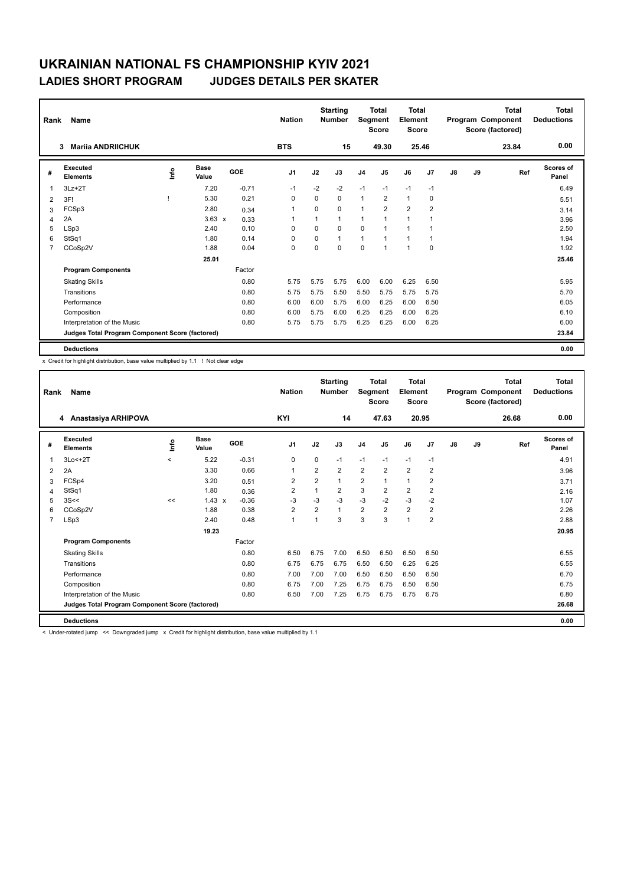| Rank           | Name                                            |      | <b>Nation</b>        |            | <b>Starting</b><br><b>Number</b> | Segment  | Total<br><b>Score</b> | <b>Total</b><br>Element<br><b>Score</b> |                |                |                | Total<br>Program Component<br>Score (factored) | <b>Total</b><br><b>Deductions</b> |       |                    |
|----------------|-------------------------------------------------|------|----------------------|------------|----------------------------------|----------|-----------------------|-----------------------------------------|----------------|----------------|----------------|------------------------------------------------|-----------------------------------|-------|--------------------|
|                | <b>Mariia ANDRIICHUK</b><br>3                   |      |                      |            | <b>BTS</b>                       |          | 15                    |                                         | 49.30          | 25.46          |                |                                                |                                   | 23.84 | 0.00               |
| #              | Executed<br><b>Elements</b>                     | lnfo | <b>Base</b><br>Value | <b>GOE</b> | J <sub>1</sub>                   | J2       | J3                    | J <sub>4</sub>                          | J <sub>5</sub> | J6             | J <sub>7</sub> | J8                                             | J9                                | Ref   | Scores of<br>Panel |
| $\overline{1}$ | $3Lz + 2T$                                      |      | 7.20                 | $-0.71$    | $-1$                             | $-2$     | $-2$                  | $-1$                                    | $-1$           | $-1$           | $-1$           |                                                |                                   |       | 6.49               |
| 2              | 3F!                                             |      | 5.30                 | 0.21       | 0                                | $\Omega$ | 0                     | $\mathbf{1}$                            | $\overline{2}$ | $\overline{1}$ | 0              |                                                |                                   |       | 5.51               |
| 3              | FCSp3                                           |      | 2.80                 | 0.34       | -1                               | 0        | 0                     | $\overline{1}$                          | $\overline{2}$ | $\overline{2}$ | $\overline{2}$ |                                                |                                   |       | 3.14               |
| 4              | 2A                                              |      | $3.63 \times$        | 0.33       |                                  | 1        | 1                     | $\mathbf{1}$                            | $\mathbf{1}$   | 1              |                |                                                |                                   |       | 3.96               |
| 5              | LSp3                                            |      | 2.40                 | 0.10       | $\Omega$                         | $\Omega$ | $\Omega$              | $\mathbf 0$                             | $\mathbf{1}$   | 1              |                |                                                |                                   |       | 2.50               |
| 6              | StSq1                                           |      | 1.80                 | 0.14       | $\Omega$                         | 0        | 1                     | $\mathbf{1}$                            | $\mathbf{1}$   | $\mathbf{1}$   | -1             |                                                |                                   |       | 1.94               |
| $\overline{7}$ | CCoSp2V                                         |      | 1.88                 | 0.04       | $\mathbf 0$                      | 0        | 0                     | $\mathbf 0$                             | $\mathbf{1}$   | 1              | $\mathbf 0$    |                                                |                                   |       | 1.92               |
|                |                                                 |      | 25.01                |            |                                  |          |                       |                                         |                |                |                |                                                |                                   |       | 25.46              |
|                | <b>Program Components</b>                       |      |                      | Factor     |                                  |          |                       |                                         |                |                |                |                                                |                                   |       |                    |
|                | <b>Skating Skills</b>                           |      |                      | 0.80       | 5.75                             | 5.75     | 5.75                  | 6.00                                    | 6.00           | 6.25           | 6.50           |                                                |                                   |       | 5.95               |
|                | Transitions                                     |      |                      | 0.80       | 5.75                             | 5.75     | 5.50                  | 5.50                                    | 5.75           | 5.75           | 5.75           |                                                |                                   |       | 5.70               |
|                | Performance                                     |      |                      | 0.80       | 6.00                             | 6.00     | 5.75                  | 6.00                                    | 6.25           | 6.00           | 6.50           |                                                |                                   |       | 6.05               |
|                | Composition                                     |      |                      | 0.80       | 6.00                             | 5.75     | 6.00                  | 6.25                                    | 6.25           | 6.00           | 6.25           |                                                |                                   |       | 6.10               |
|                | Interpretation of the Music                     |      |                      | 0.80       | 5.75                             | 5.75     | 5.75                  | 6.25                                    | 6.25           | 6.00           | 6.25           |                                                |                                   |       | 6.00               |
|                | Judges Total Program Component Score (factored) |      |                      |            |                                  |          |                       |                                         |                |                |                |                                                |                                   |       | 23.84              |
|                | <b>Deductions</b>                               |      |                      |            |                                  |          |                       |                                         |                |                |                |                                                |                                   |       | 0.00               |

x Credit for highlight distribution, base value multiplied by 1.1 ! Not clear edge

| Rank | Name                                            |         |                      |         | <b>Nation</b>  |                | <b>Starting</b><br><b>Number</b> | Segment        | Total<br><b>Score</b> | Total<br>Element<br><b>Score</b> |                |    |    | Total<br>Program Component<br>Score (factored) | <b>Total</b><br><b>Deductions</b> |
|------|-------------------------------------------------|---------|----------------------|---------|----------------|----------------|----------------------------------|----------------|-----------------------|----------------------------------|----------------|----|----|------------------------------------------------|-----------------------------------|
|      | 4 Anastasiya ARHIPOVA                           |         |                      |         | KYI            |                | 14                               |                | 47.63                 | 20.95                            |                |    |    | 26.68                                          | 0.00                              |
| #    | Executed<br><b>Elements</b>                     | lnfo    | <b>Base</b><br>Value | GOE     | J <sub>1</sub> | J2             | J3                               | J <sub>4</sub> | $\mathsf{J}5$         | J6                               | J7             | J8 | J9 | Ref                                            | <b>Scores of</b><br>Panel         |
| 1    | $3Lo < +2T$                                     | $\prec$ | 5.22                 | $-0.31$ | 0              | $\mathbf 0$    | $-1$                             | $-1$           | $-1$                  | $-1$                             | $-1$           |    |    |                                                | 4.91                              |
| 2    | 2A                                              |         | 3.30                 | 0.66    | $\mathbf{1}$   | $\overline{2}$ | $\overline{2}$                   | $\overline{2}$ | $\overline{2}$        | $\overline{2}$                   | $\overline{2}$ |    |    |                                                | 3.96                              |
| 3    | FCSp4                                           |         | 3.20                 | 0.51    | $\overline{2}$ | $\overline{2}$ | $\mathbf{1}$                     | $\overline{2}$ | $\mathbf{1}$          | $\mathbf{1}$                     | $\overline{2}$ |    |    |                                                | 3.71                              |
| 4    | StSq1                                           |         | 1.80                 | 0.36    | $\overline{2}$ |                | $\overline{2}$                   | 3              | $\overline{2}$        | $\overline{2}$                   | $\overline{2}$ |    |    |                                                | 2.16                              |
| 5    | 3S<<                                            | <<      | $1.43 \times$        | $-0.36$ | $-3$           | $-3$           | $-3$                             | $-3$           | $-2$                  | $-3$                             | $-2$           |    |    |                                                | 1.07                              |
| 6    | CCoSp2V                                         |         | 1.88                 | 0.38    | $\overline{2}$ | $\overline{2}$ | 1                                | $\overline{2}$ | $\overline{2}$        | $\overline{2}$                   | $\overline{2}$ |    |    |                                                | 2.26                              |
| 7    | LSp3                                            |         | 2.40                 | 0.48    | $\mathbf{1}$   | $\overline{ }$ | 3                                | 3              | 3                     | $\mathbf{1}$                     | $\overline{2}$ |    |    |                                                | 2.88                              |
|      |                                                 |         | 19.23                |         |                |                |                                  |                |                       |                                  |                |    |    |                                                | 20.95                             |
|      | <b>Program Components</b>                       |         |                      | Factor  |                |                |                                  |                |                       |                                  |                |    |    |                                                |                                   |
|      | <b>Skating Skills</b>                           |         |                      | 0.80    | 6.50           | 6.75           | 7.00                             | 6.50           | 6.50                  | 6.50                             | 6.50           |    |    |                                                | 6.55                              |
|      | Transitions                                     |         |                      | 0.80    | 6.75           | 6.75           | 6.75                             | 6.50           | 6.50                  | 6.25                             | 6.25           |    |    |                                                | 6.55                              |
|      | Performance                                     |         |                      | 0.80    | 7.00           | 7.00           | 7.00                             | 6.50           | 6.50                  | 6.50                             | 6.50           |    |    |                                                | 6.70                              |
|      | Composition                                     |         |                      | 0.80    | 6.75           | 7.00           | 7.25                             | 6.75           | 6.75                  | 6.50                             | 6.50           |    |    |                                                | 6.75                              |
|      | Interpretation of the Music                     |         |                      | 0.80    | 6.50           | 7.00           | 7.25                             | 6.75           | 6.75                  | 6.75                             | 6.75           |    |    |                                                | 6.80                              |
|      | Judges Total Program Component Score (factored) |         |                      |         |                |                |                                  |                |                       |                                  |                |    |    |                                                | 26.68                             |
|      | <b>Deductions</b>                               |         |                      |         |                |                |                                  |                |                       |                                  |                |    |    |                                                | 0.00                              |

< Under-rotated jump << Downgraded jump x Credit for highlight distribution, base value multiplied by 1.1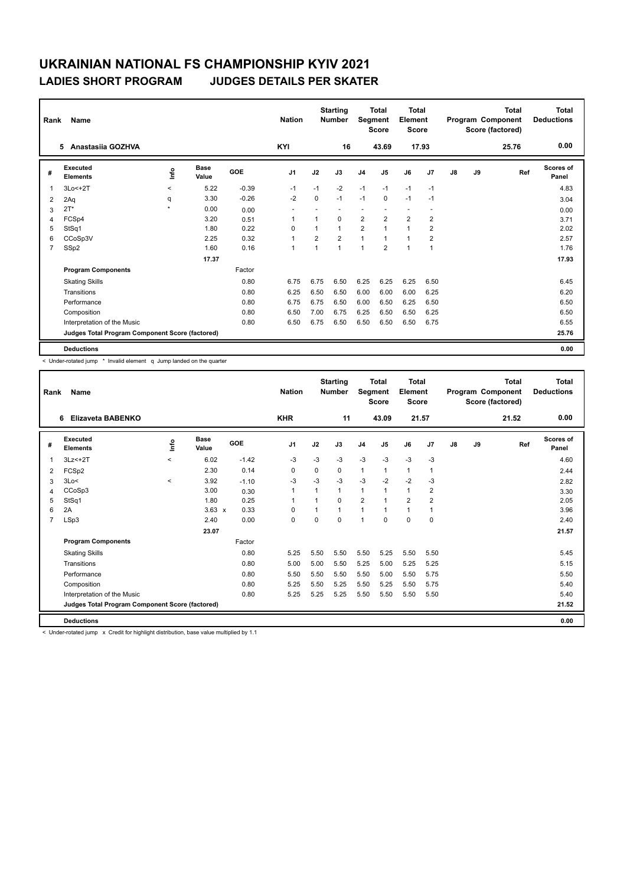| Rank           | Name                                            |                     | <b>Nation</b> |         | <b>Starting</b><br><b>Number</b> | Segment        | Total<br><b>Score</b> | <b>Total</b><br>Element<br>Score |                          |                |                          | <b>Total</b><br>Program Component<br>Score (factored) | <b>Total</b><br><b>Deductions</b> |       |                           |
|----------------|-------------------------------------------------|---------------------|---------------|---------|----------------------------------|----------------|-----------------------|----------------------------------|--------------------------|----------------|--------------------------|-------------------------------------------------------|-----------------------------------|-------|---------------------------|
|                | Anastasija GOZHVA<br>5.                         |                     |               |         | KYI                              |                | 16                    |                                  | 43.69                    |                | 17.93                    |                                                       |                                   | 25.76 | 0.00                      |
| #              | Executed<br><b>Elements</b>                     | lnfo                | Base<br>Value | GOE     | J <sub>1</sub>                   | J2             | J3                    | J <sub>4</sub>                   | J5                       | J6             | J7                       | $\mathsf{J}8$                                         | J9                                | Ref   | <b>Scores of</b><br>Panel |
| $\overline{1}$ | $3Lo < +2T$                                     | $\prec$             | 5.22          | $-0.39$ | $-1$                             | $-1$           | $-2$                  | $-1$                             | $-1$                     | $-1$           | $-1$                     |                                                       |                                   |       | 4.83                      |
| 2              | 2Aq                                             | q                   | 3.30          | $-0.26$ | $-2$                             | $\mathbf 0$    | $-1$                  | $-1$                             | $\mathbf 0$              | $-1$           | $-1$                     |                                                       |                                   |       | 3.04                      |
| 3              | $2T^*$                                          | $\boldsymbol{\ast}$ | 0.00          | 0.00    |                                  |                |                       | ٠                                | $\overline{\phantom{a}}$ | $\blacksquare$ | $\overline{\phantom{a}}$ |                                                       |                                   |       | 0.00                      |
| 4              | FCSp4                                           |                     | 3.20          | 0.51    | $\overline{1}$                   | $\overline{1}$ | $\Omega$              | $\overline{2}$                   | $\overline{2}$           | $\overline{2}$ | $\overline{2}$           |                                                       |                                   |       | 3.71                      |
| 5              | StSq1                                           |                     | 1.80          | 0.22    | 0                                | 1              | 1                     | $\overline{2}$                   | $\mathbf{1}$             | 1              | $\overline{2}$           |                                                       |                                   |       | 2.02                      |
| 6              | CCoSp3V                                         |                     | 2.25          | 0.32    | $\overline{1}$                   | $\overline{2}$ | $\overline{2}$        | $\mathbf{1}$                     | $\mathbf{1}$             | $\mathbf{1}$   | $\overline{2}$           |                                                       |                                   |       | 2.57                      |
| $\overline{7}$ | SSp2                                            |                     | 1.60          | 0.16    | $\mathbf{1}$                     | 1              | 1                     | 1                                | $\overline{2}$           | 1              | $\overline{1}$           |                                                       |                                   |       | 1.76                      |
|                |                                                 |                     | 17.37         |         |                                  |                |                       |                                  |                          |                |                          |                                                       |                                   |       | 17.93                     |
|                | <b>Program Components</b>                       |                     |               | Factor  |                                  |                |                       |                                  |                          |                |                          |                                                       |                                   |       |                           |
|                | <b>Skating Skills</b>                           |                     |               | 0.80    | 6.75                             | 6.75           | 6.50                  | 6.25                             | 6.25                     | 6.25           | 6.50                     |                                                       |                                   |       | 6.45                      |
|                | Transitions                                     |                     |               | 0.80    | 6.25                             | 6.50           | 6.50                  | 6.00                             | 6.00                     | 6.00           | 6.25                     |                                                       |                                   |       | 6.20                      |
|                | Performance                                     |                     |               | 0.80    | 6.75                             | 6.75           | 6.50                  | 6.00                             | 6.50                     | 6.25           | 6.50                     |                                                       |                                   |       | 6.50                      |
|                | Composition                                     |                     |               | 0.80    | 6.50                             | 7.00           | 6.75                  | 6.25                             | 6.50                     | 6.50           | 6.25                     |                                                       |                                   |       | 6.50                      |
|                | Interpretation of the Music                     |                     |               | 0.80    | 6.50                             | 6.75           | 6.50                  | 6.50                             | 6.50                     | 6.50           | 6.75                     |                                                       |                                   |       | 6.55                      |
|                | Judges Total Program Component Score (factored) |                     |               |         |                                  |                |                       |                                  |                          |                |                          |                                                       |                                   |       | 25.76                     |
|                | <b>Deductions</b>                               |                     |               |         |                                  |                |                       |                                  |                          |                |                          |                                                       |                                   |       | 0.00                      |

< Under-rotated jump \* Invalid element q Jump landed on the quarter

| Rank           | Name                                            |            |                      |         | <b>Nation</b>  |          | <b>Starting</b><br><b>Number</b> | Segment        | Total<br><b>Score</b> | Total<br>Element<br><b>Score</b> |                |    |    | Total<br>Program Component<br>Score (factored) | <b>Total</b><br><b>Deductions</b> |
|----------------|-------------------------------------------------|------------|----------------------|---------|----------------|----------|----------------------------------|----------------|-----------------------|----------------------------------|----------------|----|----|------------------------------------------------|-----------------------------------|
|                | Elizaveta BABENKO<br>6                          |            |                      |         | <b>KHR</b>     |          | 11                               |                | 43.09                 | 21.57                            |                |    |    | 21.52                                          | 0.00                              |
| #              | Executed<br><b>Elements</b>                     | <b>Lin</b> | <b>Base</b><br>Value | GOE     | J <sub>1</sub> | J2       | J3                               | J <sub>4</sub> | J <sub>5</sub>        | J6                               | J7             | J8 | J9 | Ref                                            | Scores of<br>Panel                |
|                | $3Lz < +2T$                                     | $\prec$    | 6.02                 | $-1.42$ | -3             | $-3$     | $-3$                             | $-3$           | $-3$                  | $-3$                             | $-3$           |    |    |                                                | 4.60                              |
| 2              | FCSp2                                           |            | 2.30                 | 0.14    | 0              | 0        | 0                                | $\mathbf{1}$   | 1                     | $\mathbf{1}$                     | $\mathbf{1}$   |    |    |                                                | 2.44                              |
| 3              | 3Lo<                                            | $\prec$    | 3.92                 | $-1.10$ | $-3$           | $-3$     | $-3$                             | $-3$           | $-2$                  | $-2$                             | $-3$           |    |    |                                                | 2.82                              |
| 4              | CCoSp3                                          |            | 3.00                 | 0.30    | $\mathbf{1}$   | 1        | 1                                | $\mathbf{1}$   | 1                     | $\mathbf{1}$                     | 2              |    |    |                                                | 3.30                              |
| 5              | StSq1                                           |            | 1.80                 | 0.25    | $\mathbf{1}$   | 1        | $\Omega$                         | $\overline{2}$ |                       | $\overline{2}$                   | $\overline{2}$ |    |    |                                                | 2.05                              |
| 6              | 2A                                              |            | $3.63 \times$        | 0.33    | $\Omega$       | 1        | $\mathbf{1}$                     | $\mathbf{1}$   | 1                     | $\mathbf{1}$                     | 1              |    |    |                                                | 3.96                              |
| $\overline{7}$ | LSp3                                            |            | 2.40                 | 0.00    | $\Omega$       | $\Omega$ | 0                                | 1              | $\Omega$              | $\Omega$                         | $\mathbf 0$    |    |    |                                                | 2.40                              |
|                |                                                 |            | 23.07                |         |                |          |                                  |                |                       |                                  |                |    |    |                                                | 21.57                             |
|                | <b>Program Components</b>                       |            |                      | Factor  |                |          |                                  |                |                       |                                  |                |    |    |                                                |                                   |
|                | <b>Skating Skills</b>                           |            |                      | 0.80    | 5.25           | 5.50     | 5.50                             | 5.50           | 5.25                  | 5.50                             | 5.50           |    |    |                                                | 5.45                              |
|                | Transitions                                     |            |                      | 0.80    | 5.00           | 5.00     | 5.50                             | 5.25           | 5.00                  | 5.25                             | 5.25           |    |    |                                                | 5.15                              |
|                | Performance                                     |            |                      | 0.80    | 5.50           | 5.50     | 5.50                             | 5.50           | 5.00                  | 5.50                             | 5.75           |    |    |                                                | 5.50                              |
|                | Composition                                     |            |                      | 0.80    | 5.25           | 5.50     | 5.25                             | 5.50           | 5.25                  | 5.50                             | 5.75           |    |    |                                                | 5.40                              |
|                | Interpretation of the Music                     |            |                      | 0.80    | 5.25           | 5.25     | 5.25                             | 5.50           | 5.50                  | 5.50                             | 5.50           |    |    |                                                | 5.40                              |
|                | Judges Total Program Component Score (factored) |            |                      |         |                |          |                                  |                |                       |                                  |                |    |    |                                                | 21.52                             |
|                | <b>Deductions</b>                               |            |                      |         |                |          |                                  |                |                       |                                  |                |    |    |                                                | 0.00                              |

< Under-rotated jump x Credit for highlight distribution, base value multiplied by 1.1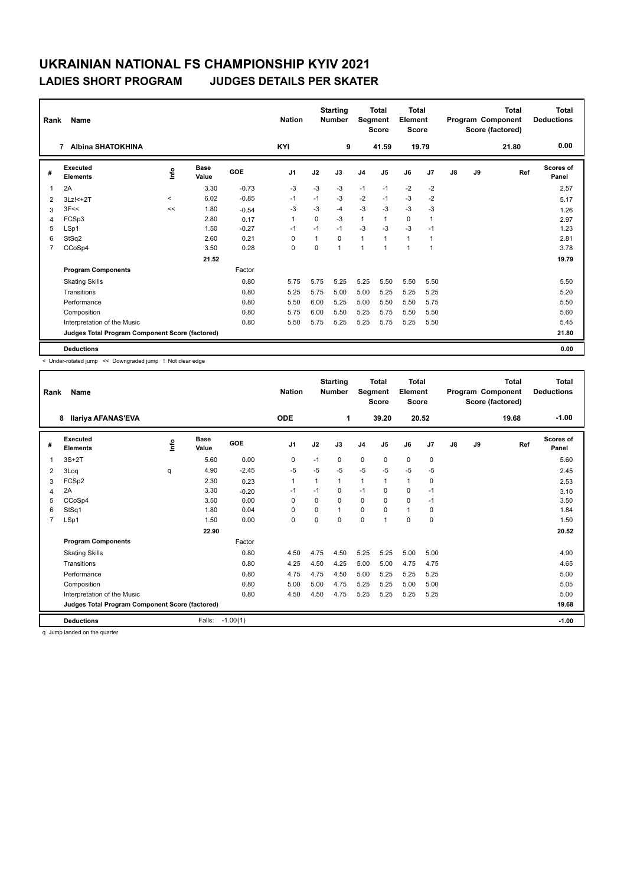| Rank           | Name                                            | <b>Nation</b> |               | <b>Starting</b><br><b>Number</b> | Segment        | Total<br><b>Score</b> | <b>Total</b><br>Element<br><b>Score</b> |                |                |              | <b>Total</b><br>Program Component<br>Score (factored) | <b>Total</b><br><b>Deductions</b> |    |       |                    |
|----------------|-------------------------------------------------|---------------|---------------|----------------------------------|----------------|-----------------------|-----------------------------------------|----------------|----------------|--------------|-------------------------------------------------------|-----------------------------------|----|-------|--------------------|
|                | <b>Albina SHATOKHINA</b><br>7                   |               |               |                                  | KYI            |                       | 9                                       |                | 41.59          |              | 19.79                                                 |                                   |    | 21.80 | 0.00               |
| #              | Executed<br><b>Elements</b>                     | ١nf٥          | Base<br>Value | GOE                              | J <sub>1</sub> | J2                    | J3                                      | J <sub>4</sub> | J <sub>5</sub> | J6           | J <sub>7</sub>                                        | J8                                | J9 | Ref   | Scores of<br>Panel |
| $\overline{1}$ | 2A                                              |               | 3.30          | $-0.73$                          | -3             | $-3$                  | $-3$                                    | $-1$           | $-1$           | $-2$         | $-2$                                                  |                                   |    |       | 2.57               |
| 2              | 3Lz! <+ 2T                                      | $\prec$       | 6.02          | $-0.85$                          | $-1$           | $-1$                  | $-3$                                    | $-2$           | $-1$           | $-3$         | $-2$                                                  |                                   |    |       | 5.17               |
| 3              | 3F<<                                            | <<            | 1.80          | $-0.54$                          | $-3$           | -3                    | $-4$                                    | $-3$           | -3             | $-3$         | $-3$                                                  |                                   |    |       | 1.26               |
| 4              | FCSp3                                           |               | 2.80          | 0.17                             | $\overline{1}$ | $\Omega$              | $-3$                                    | $\mathbf{1}$   | $\mathbf{1}$   | $\mathbf 0$  | $\overline{1}$                                        |                                   |    |       | 2.97               |
| 5              | LSp1                                            |               | 1.50          | $-0.27$                          | $-1$           | $-1$                  | $-1$                                    | $-3$           | $-3$           | $-3$         | $-1$                                                  |                                   |    |       | 1.23               |
| 6              | StSq2                                           |               | 2.60          | 0.21                             | $\Omega$       | $\mathbf{1}$          | 0                                       | $\mathbf{1}$   | $\mathbf{1}$   | $\mathbf{1}$ | $\overline{1}$                                        |                                   |    |       | 2.81               |
| $\overline{7}$ | CCoSp4                                          |               | 3.50          | 0.28                             | 0              | 0                     | 1                                       | $\overline{1}$ | $\mathbf{1}$   | 1            | $\overline{1}$                                        |                                   |    |       | 3.78               |
|                |                                                 |               | 21.52         |                                  |                |                       |                                         |                |                |              |                                                       |                                   |    |       | 19.79              |
|                | <b>Program Components</b>                       |               |               | Factor                           |                |                       |                                         |                |                |              |                                                       |                                   |    |       |                    |
|                | <b>Skating Skills</b>                           |               |               | 0.80                             | 5.75           | 5.75                  | 5.25                                    | 5.25           | 5.50           | 5.50         | 5.50                                                  |                                   |    |       | 5.50               |
|                | Transitions                                     |               |               | 0.80                             | 5.25           | 5.75                  | 5.00                                    | 5.00           | 5.25           | 5.25         | 5.25                                                  |                                   |    |       | 5.20               |
|                | Performance                                     |               |               | 0.80                             | 5.50           | 6.00                  | 5.25                                    | 5.00           | 5.50           | 5.50         | 5.75                                                  |                                   |    |       | 5.50               |
|                | Composition                                     |               |               | 0.80                             | 5.75           | 6.00                  | 5.50                                    | 5.25           | 5.75           | 5.50         | 5.50                                                  |                                   |    |       | 5.60               |
|                | Interpretation of the Music                     |               |               | 0.80                             | 5.50           | 5.75                  | 5.25                                    | 5.25           | 5.75           | 5.25         | 5.50                                                  |                                   |    |       | 5.45               |
|                | Judges Total Program Component Score (factored) |               |               |                                  |                |                       |                                         |                |                |              |                                                       |                                   |    |       | 21.80              |
|                | <b>Deductions</b>                               |               |               |                                  |                |                       |                                         |                |                |              |                                                       |                                   |    |       | 0.00               |

< Under-rotated jump << Downgraded jump ! Not clear edge

| Rank           | Name                                            |             |                      |            | <b>Nation</b>  |          | <b>Starting</b><br><b>Number</b> | <b>Segment</b> | <b>Total</b><br><b>Score</b> | <b>Total</b><br>Element<br><b>Score</b> |             |    |    | <b>Total</b><br>Program Component<br>Score (factored) | <b>Total</b><br><b>Deductions</b> |
|----------------|-------------------------------------------------|-------------|----------------------|------------|----------------|----------|----------------------------------|----------------|------------------------------|-----------------------------------------|-------------|----|----|-------------------------------------------------------|-----------------------------------|
|                | <b>Ilariya AFANAS'EVA</b><br>8                  |             |                      |            | <b>ODE</b>     |          | 1                                |                | 39.20                        |                                         | 20.52       |    |    | 19.68                                                 | $-1.00$                           |
| #              | Executed<br><b>Elements</b>                     | <u>info</u> | <b>Base</b><br>Value | GOE        | J <sub>1</sub> | J2       | J3                               | J <sub>4</sub> | J <sub>5</sub>               | J6                                      | J7          | J8 | J9 | Ref                                                   | <b>Scores of</b><br>Panel         |
| 1              | $3S+2T$                                         |             | 5.60                 | 0.00       | 0              | $-1$     | 0                                | $\mathbf 0$    | $\mathbf 0$                  | $\mathbf 0$                             | $\mathbf 0$ |    |    |                                                       | 5.60                              |
| 2              | 3Log                                            | q           | 4.90                 | $-2.45$    | $-5$           | $-5$     | $-5$                             | $-5$           | $-5$                         | $-5$                                    | $-5$        |    |    |                                                       | 2.45                              |
| 3              | FCSp2                                           |             | 2.30                 | 0.23       | $\mathbf{1}$   |          | $\mathbf{1}$                     | $\mathbf{1}$   | $\mathbf{1}$                 | $\mathbf{1}$                            | 0           |    |    |                                                       | 2.53                              |
| 4              | 2A                                              |             | 3.30                 | $-0.20$    | $-1$           | $-1$     | 0                                | $-1$           | $\Omega$                     | 0                                       | $-1$        |    |    |                                                       | 3.10                              |
| 5              | CCoSp4                                          |             | 3.50                 | 0.00       | $\Omega$       | $\Omega$ | $\Omega$                         | $\Omega$       | $\Omega$                     | $\Omega$                                | $-1$        |    |    |                                                       | 3.50                              |
| 6              | StSq1                                           |             | 1.80                 | 0.04       | 0              | $\Omega$ | 1                                | $\mathbf 0$    | $\Omega$                     | $\mathbf{1}$                            | $\mathbf 0$ |    |    |                                                       | 1.84                              |
| $\overline{7}$ | LSp1                                            |             | 1.50                 | 0.00       | $\mathbf 0$    | $\Omega$ | $\Omega$                         | $\mathbf 0$    |                              | 0                                       | $\mathbf 0$ |    |    |                                                       | 1.50                              |
|                |                                                 |             | 22.90                |            |                |          |                                  |                |                              |                                         |             |    |    |                                                       | 20.52                             |
|                | <b>Program Components</b>                       |             |                      | Factor     |                |          |                                  |                |                              |                                         |             |    |    |                                                       |                                   |
|                | <b>Skating Skills</b>                           |             |                      | 0.80       | 4.50           | 4.75     | 4.50                             | 5.25           | 5.25                         | 5.00                                    | 5.00        |    |    |                                                       | 4.90                              |
|                | Transitions                                     |             |                      | 0.80       | 4.25           | 4.50     | 4.25                             | 5.00           | 5.00                         | 4.75                                    | 4.75        |    |    |                                                       | 4.65                              |
|                | Performance                                     |             |                      | 0.80       | 4.75           | 4.75     | 4.50                             | 5.00           | 5.25                         | 5.25                                    | 5.25        |    |    |                                                       | 5.00                              |
|                | Composition                                     |             |                      | 0.80       | 5.00           | 5.00     | 4.75                             | 5.25           | 5.25                         | 5.00                                    | 5.00        |    |    |                                                       | 5.05                              |
|                | Interpretation of the Music                     |             |                      | 0.80       | 4.50           | 4.50     | 4.75                             | 5.25           | 5.25                         | 5.25                                    | 5.25        |    |    |                                                       | 5.00                              |
|                | Judges Total Program Component Score (factored) |             |                      |            |                |          |                                  |                |                              |                                         |             |    |    |                                                       | 19.68                             |
|                | <b>Deductions</b>                               |             | Falls:               | $-1.00(1)$ |                |          |                                  |                |                              |                                         |             |    |    |                                                       | $-1.00$                           |

q Jump landed on the quarter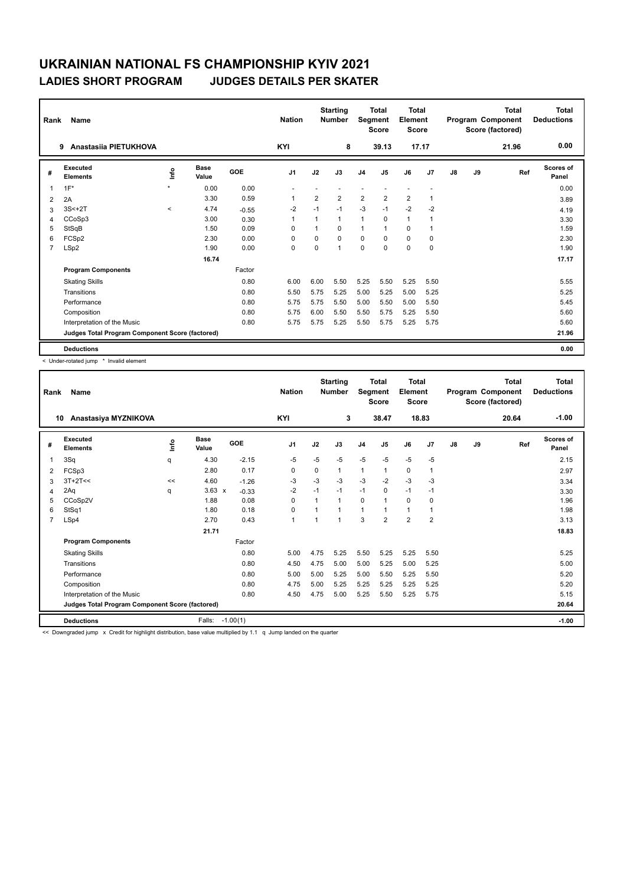| Rank           | Name                                            |                     | <b>Nation</b> |         | <b>Starting</b><br><b>Number</b> | Segment        | Total<br><b>Score</b> | <b>Total</b><br>Element<br><b>Score</b> |                |                |                | <b>Total</b><br>Program Component<br>Score (factored) | <b>Total</b><br><b>Deductions</b> |       |                    |
|----------------|-------------------------------------------------|---------------------|---------------|---------|----------------------------------|----------------|-----------------------|-----------------------------------------|----------------|----------------|----------------|-------------------------------------------------------|-----------------------------------|-------|--------------------|
|                | Anastasiia PIETUKHOVA<br>9                      |                     |               |         | <b>KYI</b>                       |                | 8                     |                                         | 39.13          | 17.17          |                |                                                       |                                   | 21.96 | 0.00               |
| #              | Executed<br><b>Elements</b>                     | Info                | Base<br>Value | GOE     | J <sub>1</sub>                   | J2             | J3                    | J <sub>4</sub>                          | J <sub>5</sub> | J6             | J <sub>7</sub> | J8                                                    | J9                                | Ref   | Scores of<br>Panel |
| $\overline{1}$ | $1F^*$                                          | $\boldsymbol{\Psi}$ | 0.00          | 0.00    |                                  |                |                       |                                         |                |                |                |                                                       |                                   |       | 0.00               |
| 2              | 2A                                              |                     | 3.30          | 0.59    | $\overline{1}$                   | $\overline{2}$ | $\overline{2}$        | $\overline{2}$                          | $\overline{2}$ | $\overline{2}$ | $\overline{1}$ |                                                       |                                   |       | 3.89               |
| 3              | $3S<+2T$                                        | $\prec$             | 4.74          | $-0.55$ | $-2$                             | $-1$           | $-1$                  | $-3$                                    | $-1$           | $-2$           | $-2$           |                                                       |                                   |       | 4.19               |
| 4              | CCoSp3                                          |                     | 3.00          | 0.30    | $\overline{1}$                   | 1              | 1                     | $\mathbf{1}$                            | 0              | $\mathbf{1}$   |                |                                                       |                                   |       | 3.30               |
| 5              | StSqB                                           |                     | 1.50          | 0.09    | $\Omega$                         | 1              | $\Omega$              | $\overline{1}$                          | 1              | 0              | -1             |                                                       |                                   |       | 1.59               |
| 6              | FCSp2                                           |                     | 2.30          | 0.00    | $\Omega$                         | $\Omega$       | $\Omega$              | $\mathbf 0$                             | $\Omega$       | $\Omega$       | $\mathbf 0$    |                                                       |                                   |       | 2.30               |
| $\overline{7}$ | LSp2                                            |                     | 1.90          | 0.00    | 0                                | 0              | 1                     | $\mathbf 0$                             | $\mathbf 0$    | 0              | $\mathbf 0$    |                                                       |                                   |       | 1.90               |
|                |                                                 |                     | 16.74         |         |                                  |                |                       |                                         |                |                |                |                                                       |                                   |       | 17.17              |
|                | <b>Program Components</b>                       |                     |               | Factor  |                                  |                |                       |                                         |                |                |                |                                                       |                                   |       |                    |
|                | <b>Skating Skills</b>                           |                     |               | 0.80    | 6.00                             | 6.00           | 5.50                  | 5.25                                    | 5.50           | 5.25           | 5.50           |                                                       |                                   |       | 5.55               |
|                | Transitions                                     |                     |               | 0.80    | 5.50                             | 5.75           | 5.25                  | 5.00                                    | 5.25           | 5.00           | 5.25           |                                                       |                                   |       | 5.25               |
|                | Performance                                     |                     |               | 0.80    | 5.75                             | 5.75           | 5.50                  | 5.00                                    | 5.50           | 5.00           | 5.50           |                                                       |                                   |       | 5.45               |
|                | Composition                                     |                     |               | 0.80    | 5.75                             | 6.00           | 5.50                  | 5.50                                    | 5.75           | 5.25           | 5.50           |                                                       |                                   |       | 5.60               |
|                | Interpretation of the Music                     |                     |               | 0.80    | 5.75                             | 5.75           | 5.25                  | 5.50                                    | 5.75           | 5.25           | 5.75           |                                                       |                                   |       | 5.60               |
|                | Judges Total Program Component Score (factored) |                     |               |         |                                  |                |                       |                                         |                |                |                |                                                       |                                   |       | 21.96              |
|                | <b>Deductions</b>                               |                     |               |         |                                  |                |                       |                                         |                |                |                |                                                       |                                   |       | 0.00               |

< Under-rotated jump \* Invalid element

| Rank           | Name                                            |            |                      |            | <b>Nation</b>  |                | <b>Starting</b><br><b>Number</b> | Segment        | <b>Total</b><br><b>Score</b> | <b>Total</b><br>Element<br><b>Score</b> |                |    |    | <b>Total</b><br>Program Component<br>Score (factored) | <b>Total</b><br><b>Deductions</b> |
|----------------|-------------------------------------------------|------------|----------------------|------------|----------------|----------------|----------------------------------|----------------|------------------------------|-----------------------------------------|----------------|----|----|-------------------------------------------------------|-----------------------------------|
|                | Anastasiya MYZNIKOVA<br>10                      |            |                      |            | KYI            |                | 3                                |                | 38.47                        |                                         | 18.83          |    |    | 20.64                                                 | $-1.00$                           |
| #              | Executed<br><b>Elements</b>                     | <b>Lin</b> | <b>Base</b><br>Value | GOE        | J <sub>1</sub> | J2             | J3                               | J <sub>4</sub> | J <sub>5</sub>               | J6                                      | J7             | J8 | J9 | Ref                                                   | <b>Scores of</b><br>Panel         |
| 1              | 3Sq                                             | q          | 4.30                 | $-2.15$    | $-5$           | $-5$           | $-5$                             | $-5$           | $-5$                         | $-5$                                    | $-5$           |    |    |                                                       | 2.15                              |
| 2              | FCSp3                                           |            | 2.80                 | 0.17       | 0              | 0              | $\mathbf{1}$                     | $\mathbf{1}$   | 1                            | 0                                       | 1              |    |    |                                                       | 2.97                              |
| 3              | $3T+2T<<$                                       | <<         | 4.60                 | $-1.26$    | -3             | $-3$           | $-3$                             | $-3$           | $-2$                         | $-3$                                    | -3             |    |    |                                                       | 3.34                              |
| 4              | 2Aq                                             | q          | $3.63 \times$        | $-0.33$    | $-2$           | $-1$           | $-1$                             | $-1$           | 0                            | $-1$                                    | $-1$           |    |    |                                                       | 3.30                              |
| 5              | CCoSp2V                                         |            | 1.88                 | 0.08       | $\Omega$       | $\overline{1}$ | $\mathbf{1}$                     | $\mathbf 0$    | 1                            | $\Omega$                                | 0              |    |    |                                                       | 1.96                              |
| 6              | StSq1                                           |            | 1.80                 | 0.18       | $\mathbf 0$    | 1              | 1                                | $\mathbf{1}$   |                              | $\mathbf{1}$                            | 1              |    |    |                                                       | 1.98                              |
| $\overline{7}$ | LSp4                                            |            | 2.70                 | 0.43       | $\mathbf{1}$   | $\overline{1}$ | $\overline{1}$                   | 3              | $\overline{2}$               | $\overline{2}$                          | $\overline{2}$ |    |    |                                                       | 3.13                              |
|                |                                                 |            | 21.71                |            |                |                |                                  |                |                              |                                         |                |    |    |                                                       | 18.83                             |
|                | <b>Program Components</b>                       |            |                      | Factor     |                |                |                                  |                |                              |                                         |                |    |    |                                                       |                                   |
|                | <b>Skating Skills</b>                           |            |                      | 0.80       | 5.00           | 4.75           | 5.25                             | 5.50           | 5.25                         | 5.25                                    | 5.50           |    |    |                                                       | 5.25                              |
|                | Transitions                                     |            |                      | 0.80       | 4.50           | 4.75           | 5.00                             | 5.00           | 5.25                         | 5.00                                    | 5.25           |    |    |                                                       | 5.00                              |
|                | Performance                                     |            |                      | 0.80       | 5.00           | 5.00           | 5.25                             | 5.00           | 5.50                         | 5.25                                    | 5.50           |    |    |                                                       | 5.20                              |
|                | Composition                                     |            |                      | 0.80       | 4.75           | 5.00           | 5.25                             | 5.25           | 5.25                         | 5.25                                    | 5.25           |    |    |                                                       | 5.20                              |
|                | Interpretation of the Music                     |            |                      | 0.80       | 4.50           | 4.75           | 5.00                             | 5.25           | 5.50                         | 5.25                                    | 5.75           |    |    |                                                       | 5.15                              |
|                | Judges Total Program Component Score (factored) |            |                      |            |                |                |                                  |                |                              |                                         |                |    |    |                                                       | 20.64                             |
|                | <b>Deductions</b>                               |            | Falls:               | $-1.00(1)$ |                |                |                                  |                |                              |                                         |                |    |    |                                                       | $-1.00$                           |

<< Downgraded jump x Credit for highlight distribution, base value multiplied by 1.1 q Jump landed on the quarter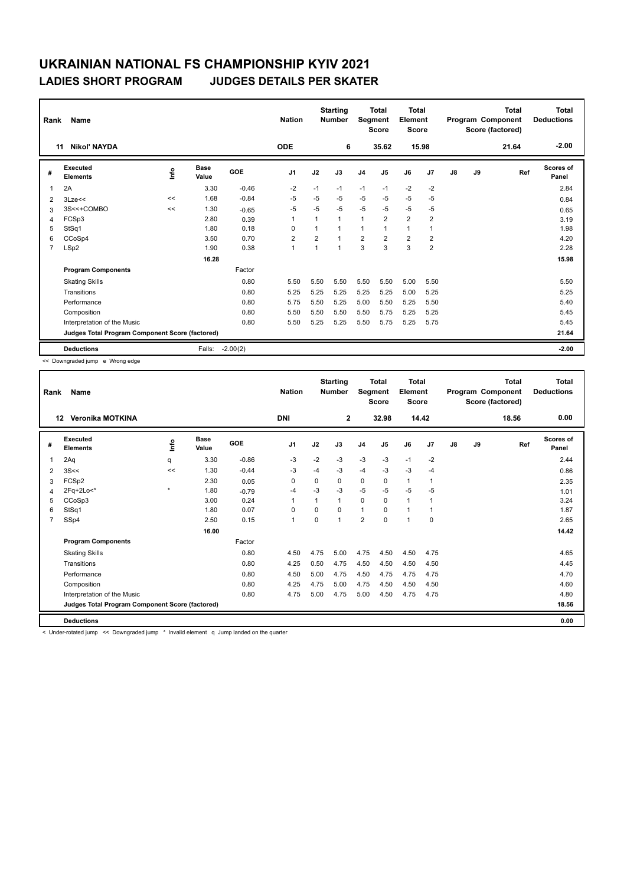| Rank           | Name                                            |      | <b>Nation</b>        |            | <b>Starting</b><br><b>Number</b> | Segment        | <b>Total</b><br><b>Score</b> | Total<br>Element<br><b>Score</b> |                |                |                | Total<br>Program Component<br>Score (factored) | Total<br><b>Deductions</b> |       |                    |
|----------------|-------------------------------------------------|------|----------------------|------------|----------------------------------|----------------|------------------------------|----------------------------------|----------------|----------------|----------------|------------------------------------------------|----------------------------|-------|--------------------|
| 11             | <b>Nikol' NAYDA</b>                             |      |                      |            | <b>ODE</b>                       |                | 6                            |                                  | 35.62          | 15.98          |                |                                                |                            | 21.64 | $-2.00$            |
| #              | Executed<br><b>Elements</b>                     | ١nf٥ | <b>Base</b><br>Value | <b>GOE</b> | J <sub>1</sub>                   | J2             | J3                           | J <sub>4</sub>                   | J <sub>5</sub> | J6             | J <sub>7</sub> | $\mathsf{J}8$                                  | J9                         | Ref   | Scores of<br>Panel |
| $\overline{1}$ | 2A                                              |      | 3.30                 | $-0.46$    | $-2$                             | $-1$           | $-1$                         | $-1$                             | $-1$           | $-2$           | $-2$           |                                                |                            |       | 2.84               |
| 2              | 3Lze<<                                          | <<   | 1.68                 | $-0.84$    | $-5$                             | $-5$           | $-5$                         | $-5$                             | $-5$           | $-5$           | $-5$           |                                                |                            |       | 0.84               |
| 3              | 3S<<+COMBO                                      | <<   | 1.30                 | $-0.65$    | $-5$                             | $-5$           | $-5$                         | $-5$                             | $-5$           | $-5$           | $-5$           |                                                |                            |       | 0.65               |
| 4              | FCSp3                                           |      | 2.80                 | 0.39       | $\overline{1}$                   | 1              | 1                            | $\mathbf{1}$                     | $\overline{2}$ | $\overline{2}$ | $\overline{2}$ |                                                |                            |       | 3.19               |
| 5              | StSq1                                           |      | 1.80                 | 0.18       | $\mathbf 0$                      | 1              |                              | $\overline{1}$                   | 1              | 1              | $\overline{1}$ |                                                |                            |       | 1.98               |
| 6              | CCoSp4                                          |      | 3.50                 | 0.70       | $\overline{2}$                   | $\overline{2}$ | 1                            | $\overline{2}$                   | $\overline{2}$ | $\overline{2}$ | $\overline{2}$ |                                                |                            |       | 4.20               |
| $\overline{7}$ | LSp2                                            |      | 1.90                 | 0.38       | $\mathbf{1}$                     | $\mathbf{1}$   | 1                            | 3                                | 3              | 3              | $\overline{2}$ |                                                |                            |       | 2.28               |
|                |                                                 |      | 16.28                |            |                                  |                |                              |                                  |                |                |                |                                                |                            |       | 15.98              |
|                | <b>Program Components</b>                       |      |                      | Factor     |                                  |                |                              |                                  |                |                |                |                                                |                            |       |                    |
|                | <b>Skating Skills</b>                           |      |                      | 0.80       | 5.50                             | 5.50           | 5.50                         | 5.50                             | 5.50           | 5.00           | 5.50           |                                                |                            |       | 5.50               |
|                | Transitions                                     |      |                      | 0.80       | 5.25                             | 5.25           | 5.25                         | 5.25                             | 5.25           | 5.00           | 5.25           |                                                |                            |       | 5.25               |
|                | Performance                                     |      |                      | 0.80       | 5.75                             | 5.50           | 5.25                         | 5.00                             | 5.50           | 5.25           | 5.50           |                                                |                            |       | 5.40               |
|                | Composition                                     |      |                      | 0.80       | 5.50                             | 5.50           | 5.50                         | 5.50                             | 5.75           | 5.25           | 5.25           |                                                |                            |       | 5.45               |
|                | Interpretation of the Music                     |      |                      | 0.80       | 5.50                             | 5.25           | 5.25                         | 5.50                             | 5.75           | 5.25           | 5.75           |                                                |                            |       | 5.45               |
|                | Judges Total Program Component Score (factored) |      |                      |            |                                  |                |                              |                                  |                |                |                |                                                |                            |       | 21.64              |
|                | <b>Deductions</b>                               |      | Falls:               | $-2.00(2)$ |                                  |                |                              |                                  |                |                |                |                                                |                            |       | $-2.00$            |

<< Downgraded jump e Wrong edge

| Rank           | <b>Name</b>                                     |             |                      |         | <b>Nation</b>  |          | <b>Starting</b><br><b>Number</b> | Segment        | <b>Total</b><br><b>Score</b> | Total<br>Element<br><b>Score</b> |       |               |    | <b>Total</b><br>Program Component<br>Score (factored) | <b>Total</b><br><b>Deductions</b> |
|----------------|-------------------------------------------------|-------------|----------------------|---------|----------------|----------|----------------------------------|----------------|------------------------------|----------------------------------|-------|---------------|----|-------------------------------------------------------|-----------------------------------|
|                | <b>Veronika MOTKINA</b><br>$12 \,$              |             |                      |         | <b>DNI</b>     |          | $\mathbf{2}$                     |                | 32.98                        |                                  | 14.42 |               |    | 18.56                                                 | 0.00                              |
| #              | Executed<br><b>Elements</b>                     | <u>info</u> | <b>Base</b><br>Value | GOE     | J <sub>1</sub> | J2       | J3                               | J <sub>4</sub> | J5                           | J6                               | J7    | $\mathsf{J}8$ | J9 | Ref                                                   | Scores of<br>Panel                |
| 1              | 2Aq                                             | q           | 3.30                 | $-0.86$ | -3             | $-2$     | $-3$                             | $-3$           | $-3$                         | $-1$                             | $-2$  |               |    |                                                       | 2.44                              |
| 2              | 3S<<                                            | <<          | 1.30                 | $-0.44$ | -3             | $-4$     | $-3$                             | $-4$           | $-3$                         | $-3$                             | $-4$  |               |    |                                                       | 0.86                              |
| 3              | FCSp2                                           |             | 2.30                 | 0.05    | 0              | 0        | 0                                | 0              | 0                            | $\mathbf{1}$                     | 1     |               |    |                                                       | 2.35                              |
| 4              | 2Fq+2Lo<*                                       | $\star$     | 1.80                 | $-0.79$ | $-4$           | $-3$     | $-3$                             | $-5$           | $-5$                         | $-5$                             | $-5$  |               |    |                                                       | 1.01                              |
| 5              | CCoSp3                                          |             | 3.00                 | 0.24    | $\mathbf{1}$   | 1        | $\mathbf{1}$                     | $\mathbf 0$    | 0                            | $\mathbf{1}$                     |       |               |    |                                                       | 3.24                              |
| 6              | StSq1                                           |             | 1.80                 | 0.07    | 0              | $\Omega$ | 0                                | $\mathbf{1}$   | $\Omega$                     | $\mathbf{1}$                     | 1     |               |    |                                                       | 1.87                              |
| $\overline{7}$ | SSp4                                            |             | 2.50                 | 0.15    | $\mathbf{1}$   | $\Omega$ | 1                                | $\overline{2}$ | $\Omega$                     | $\overline{1}$                   | 0     |               |    |                                                       | 2.65                              |
|                |                                                 |             | 16.00                |         |                |          |                                  |                |                              |                                  |       |               |    |                                                       | 14.42                             |
|                | <b>Program Components</b>                       |             |                      | Factor  |                |          |                                  |                |                              |                                  |       |               |    |                                                       |                                   |
|                | <b>Skating Skills</b>                           |             |                      | 0.80    | 4.50           | 4.75     | 5.00                             | 4.75           | 4.50                         | 4.50                             | 4.75  |               |    |                                                       | 4.65                              |
|                | Transitions                                     |             |                      | 0.80    | 4.25           | 0.50     | 4.75                             | 4.50           | 4.50                         | 4.50                             | 4.50  |               |    |                                                       | 4.45                              |
|                | Performance                                     |             |                      | 0.80    | 4.50           | 5.00     | 4.75                             | 4.50           | 4.75                         | 4.75                             | 4.75  |               |    |                                                       | 4.70                              |
|                | Composition                                     |             |                      | 0.80    | 4.25           | 4.75     | 5.00                             | 4.75           | 4.50                         | 4.50                             | 4.50  |               |    |                                                       | 4.60                              |
|                | Interpretation of the Music                     |             |                      | 0.80    | 4.75           | 5.00     | 4.75                             | 5.00           | 4.50                         | 4.75                             | 4.75  |               |    |                                                       | 4.80                              |
|                | Judges Total Program Component Score (factored) |             |                      |         |                |          |                                  |                |                              |                                  |       |               |    |                                                       | 18.56                             |
|                | <b>Deductions</b>                               |             |                      |         |                |          |                                  |                |                              |                                  |       |               |    |                                                       | 0.00                              |
|                |                                                 |             |                      |         |                |          |                                  |                |                              |                                  |       |               |    |                                                       |                                   |

< Under-rotated jump << Downgraded jump \* Invalid element q Jump landed on the quarter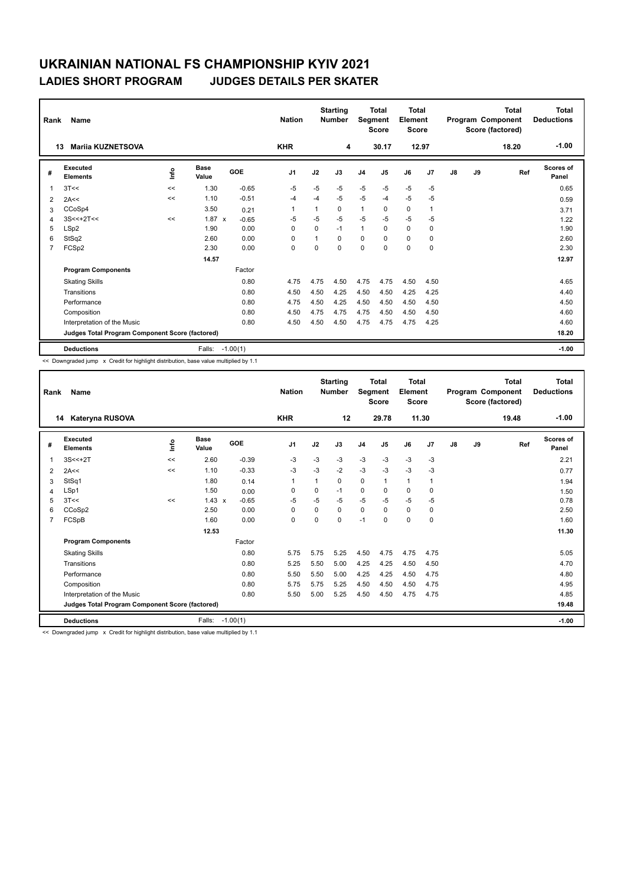| Rank           | Name                                            |      |                      |            | <b>Nation</b>  |          | <b>Starting</b><br><b>Number</b> | Segment        | Total<br><b>Score</b> | Total<br>Element<br><b>Score</b> |                |               |    | Total<br>Program Component<br>Score (factored) | <b>Total</b><br><b>Deductions</b> |
|----------------|-------------------------------------------------|------|----------------------|------------|----------------|----------|----------------------------------|----------------|-----------------------|----------------------------------|----------------|---------------|----|------------------------------------------------|-----------------------------------|
|                | <b>Marija KUZNETSOVA</b><br>13                  |      |                      |            | <b>KHR</b>     |          | 4                                |                | 30.17                 |                                  | 12.97          |               |    | 18.20                                          | $-1.00$                           |
| #              | Executed<br><b>Elements</b>                     | lnfo | <b>Base</b><br>Value | <b>GOE</b> | J <sub>1</sub> | J2       | J3                               | J <sub>4</sub> | J <sub>5</sub>        | J6                               | J <sub>7</sub> | $\mathsf{J}8$ | J9 | Ref                                            | <b>Scores of</b><br>Panel         |
| $\overline{1}$ | 3T<<                                            | <<   | 1.30                 | $-0.65$    | $-5$           | $-5$     | $-5$                             | $-5$           | $-5$                  | $-5$                             | $-5$           |               |    |                                                | 0.65                              |
| 2              | 2A<<                                            | <<   | 1.10                 | $-0.51$    | -4             | $-4$     | $-5$                             | $-5$           | $-4$                  | $-5$                             | $-5$           |               |    |                                                | 0.59                              |
| 3              | CCoSp4                                          |      | 3.50                 | 0.21       | $\mathbf 1$    | 1        | $\Omega$                         | $\mathbf{1}$   | $\Omega$              | 0                                | $\overline{1}$ |               |    |                                                | 3.71                              |
| 4              | $3S<<+2T<<$                                     | <<   | $1.87 \times$        | $-0.65$    | $-5$           | $-5$     | $-5$                             | $-5$           | $-5$                  | $-5$                             | $-5$           |               |    |                                                | 1.22                              |
| 5              | LSp2                                            |      | 1.90                 | 0.00       | 0              | $\Omega$ | $-1$                             | $\mathbf{1}$   | 0                     | $\mathbf 0$                      | $\mathbf 0$    |               |    |                                                | 1.90                              |
| 6              | StSq2                                           |      | 2.60                 | 0.00       | 0              | 1        | $\Omega$                         | $\mathbf 0$    | $\Omega$              | $\mathbf 0$                      | 0              |               |    |                                                | 2.60                              |
| 7              | FCSp2                                           |      | 2.30                 | 0.00       | 0              | 0        | 0                                | $\mathbf 0$    | 0                     | 0                                | 0              |               |    |                                                | 2.30                              |
|                |                                                 |      | 14.57                |            |                |          |                                  |                |                       |                                  |                |               |    |                                                | 12.97                             |
|                | <b>Program Components</b>                       |      |                      | Factor     |                |          |                                  |                |                       |                                  |                |               |    |                                                |                                   |
|                | <b>Skating Skills</b>                           |      |                      | 0.80       | 4.75           | 4.75     | 4.50                             | 4.75           | 4.75                  | 4.50                             | 4.50           |               |    |                                                | 4.65                              |
|                | Transitions                                     |      |                      | 0.80       | 4.50           | 4.50     | 4.25                             | 4.50           | 4.50                  | 4.25                             | 4.25           |               |    |                                                | 4.40                              |
|                | Performance                                     |      |                      | 0.80       | 4.75           | 4.50     | 4.25                             | 4.50           | 4.50                  | 4.50                             | 4.50           |               |    |                                                | 4.50                              |
|                | Composition                                     |      |                      | 0.80       | 4.50           | 4.75     | 4.75                             | 4.75           | 4.50                  | 4.50                             | 4.50           |               |    |                                                | 4.60                              |
|                | Interpretation of the Music                     |      |                      | 0.80       | 4.50           | 4.50     | 4.50                             | 4.75           | 4.75                  | 4.75                             | 4.25           |               |    |                                                | 4.60                              |
|                | Judges Total Program Component Score (factored) |      |                      |            |                |          |                                  |                |                       |                                  |                |               |    |                                                | 18.20                             |
|                | <b>Deductions</b>                               |      | Falls:               | $-1.00(1)$ |                |          |                                  |                |                       |                                  |                |               |    |                                                | $-1.00$                           |

<< Downgraded jump x Credit for highlight distribution, base value multiplied by 1.1

|                | Name<br>Rank                                    |      |                      |            |                |          | <b>Starting</b><br><b>Number</b> | <b>Total</b><br>Segment<br><b>Score</b> |              | <b>Total</b><br>Element<br><b>Score</b> |             | <b>Total</b><br>Program Component<br>Score (factored) |    |       | <b>Total</b><br><b>Deductions</b> |
|----------------|-------------------------------------------------|------|----------------------|------------|----------------|----------|----------------------------------|-----------------------------------------|--------------|-----------------------------------------|-------------|-------------------------------------------------------|----|-------|-----------------------------------|
|                | Kateryna RUSOVA<br>14                           |      |                      |            | <b>KHR</b>     |          | 12                               |                                         | 29.78        |                                         | 11.30       |                                                       |    | 19.48 | $-1.00$                           |
| #              | Executed<br><b>Elements</b>                     | Info | <b>Base</b><br>Value | GOE        | J <sub>1</sub> | J2       | J3                               | J <sub>4</sub>                          | J5           | J6                                      | J7          | J8                                                    | J9 | Ref   | Scores of<br>Panel                |
| 1              | $3S < +2T$                                      | <<   | 2.60                 | $-0.39$    | -3             | $-3$     | $-3$                             | $-3$                                    | $-3$         | $-3$                                    | $-3$        |                                                       |    |       | 2.21                              |
| 2              | 2A<<                                            | <<   | 1.10                 | $-0.33$    | $-3$           | $-3$     | $-2$                             | $-3$                                    | $-3$         | $-3$                                    | $-3$        |                                                       |    |       | 0.77                              |
| 3              | StSq1                                           |      | 1.80                 | 0.14       | $\mathbf 1$    |          | 0                                | $\pmb{0}$                               | $\mathbf{1}$ | $\mathbf{1}$                            | 1           |                                                       |    |       | 1.94                              |
| 4              | LSp1                                            |      | 1.50                 | 0.00       | 0              | 0        | $-1$                             | 0                                       | $\Omega$     | 0                                       | $\mathbf 0$ |                                                       |    |       | 1.50                              |
| 5              | 3T<<                                            | <<   | $1.43 \times$        | $-0.65$    | $-5$           | $-5$     | $-5$                             | -5                                      | $-5$         | $-5$                                    | $-5$        |                                                       |    |       | 0.78                              |
| 6              | CCoSp2                                          |      | 2.50                 | 0.00       | 0              | $\Omega$ | 0                                | $\mathbf 0$                             | $\Omega$     | $\mathbf 0$                             | 0           |                                                       |    |       | 2.50                              |
| $\overline{7}$ | FCSpB                                           |      | 1.60                 | 0.00       | $\mathbf 0$    | $\Omega$ | $\Omega$                         | $-1$                                    | $\Omega$     | 0                                       | $\mathbf 0$ |                                                       |    |       | 1.60                              |
|                |                                                 |      | 12.53                |            |                |          |                                  |                                         |              |                                         |             |                                                       |    |       | 11.30                             |
|                | <b>Program Components</b>                       |      |                      | Factor     |                |          |                                  |                                         |              |                                         |             |                                                       |    |       |                                   |
|                | <b>Skating Skills</b>                           |      |                      | 0.80       | 5.75           | 5.75     | 5.25                             | 4.50                                    | 4.75         | 4.75                                    | 4.75        |                                                       |    |       | 5.05                              |
|                | Transitions                                     |      |                      | 0.80       | 5.25           | 5.50     | 5.00                             | 4.25                                    | 4.25         | 4.50                                    | 4.50        |                                                       |    |       | 4.70                              |
|                | Performance                                     |      |                      | 0.80       | 5.50           | 5.50     | 5.00                             | 4.25                                    | 4.25         | 4.50                                    | 4.75        |                                                       |    |       | 4.80                              |
|                | Composition                                     |      |                      | 0.80       | 5.75           | 5.75     | 5.25                             | 4.50                                    | 4.50         | 4.50                                    | 4.75        |                                                       |    |       | 4.95                              |
|                | Interpretation of the Music                     |      |                      | 0.80       | 5.50           | 5.00     | 5.25                             | 4.50                                    | 4.50         | 4.75                                    | 4.75        |                                                       |    |       | 4.85                              |
|                | Judges Total Program Component Score (factored) |      |                      |            |                |          |                                  |                                         |              |                                         |             |                                                       |    |       | 19.48                             |
|                | <b>Deductions</b>                               |      | Falls:               | $-1.00(1)$ |                |          |                                  |                                         |              |                                         |             |                                                       |    |       | $-1.00$                           |

<< Downgraded jump x Credit for highlight distribution, base value multiplied by 1.1